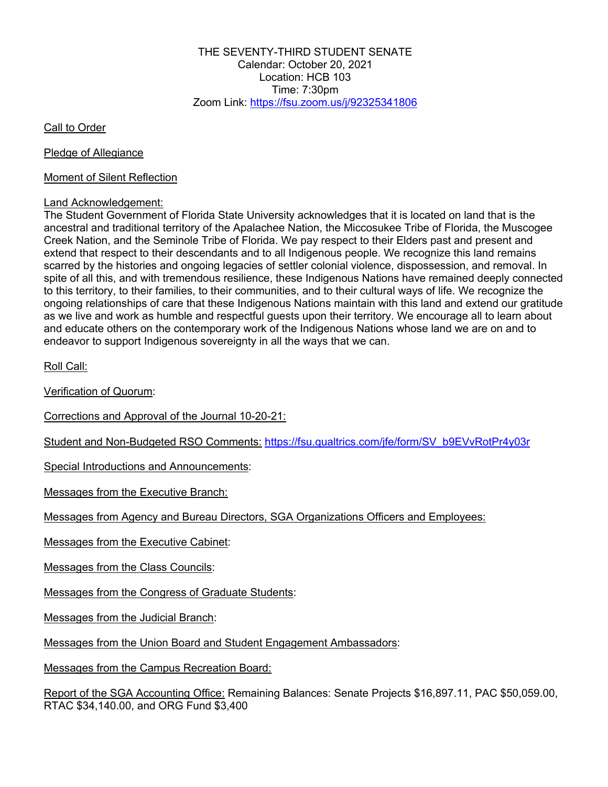THE SEVENTY-THIRD STUDENT SENATE Calendar: October 20, 2021 Location: HCB 103 Time: 7:30pm Zoom Link: https://fsu.zoom.us/j/92325341806

Call to Order

Pledge of Allegiance

Moment of Silent Reflection

### Land Acknowledgement:

The Student Government of Florida State University acknowledges that it is located on land that is the ancestral and traditional territory of the Apalachee Nation, the Miccosukee Tribe of Florida, the Muscogee Creek Nation, and the Seminole Tribe of Florida. We pay respect to their Elders past and present and extend that respect to their descendants and to all Indigenous people. We recognize this land remains scarred by the histories and ongoing legacies of settler colonial violence, dispossession, and removal. In spite of all this, and with tremendous resilience, these Indigenous Nations have remained deeply connected to this territory, to their families, to their communities, and to their cultural ways of life. We recognize the ongoing relationships of care that these Indigenous Nations maintain with this land and extend our gratitude as we live and work as humble and respectful guests upon their territory. We encourage all to learn about and educate others on the contemporary work of the Indigenous Nations whose land we are on and to endeavor to support Indigenous sovereignty in all the ways that we can.

Roll Call:

Verification of Quorum:

Corrections and Approval of the Journal 10-20-21:

Student and Non-Budgeted RSO Comments: https://fsu.qualtrics.com/jfe/form/SV\_b9EVvRotPr4y03r

Special Introductions and Announcements:

Messages from the Executive Branch:

Messages from Agency and Bureau Directors, SGA Organizations Officers and Employees:

Messages from the Executive Cabinet:

Messages from the Class Councils:

Messages from the Congress of Graduate Students:

Messages from the Judicial Branch:

Messages from the Union Board and Student Engagement Ambassadors:

Messages from the Campus Recreation Board:

Report of the SGA Accounting Office: Remaining Balances: Senate Projects \$16,897.11, PAC \$50,059.00, RTAC \$34,140.00, and ORG Fund \$3,400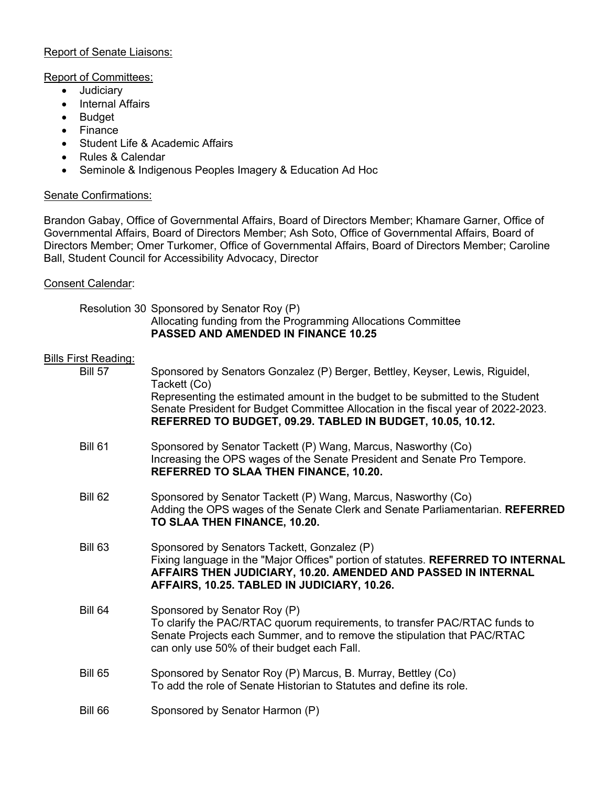# Report of Senate Liaisons:

# Report of Committees:

- Judiciary
- Internal Affairs
- Budget
- Finance
- Student Life & Academic Affairs
- Rules & Calendar
- Seminole & Indigenous Peoples Imagery & Education Ad Hoc

# Senate Confirmations:

Brandon Gabay, Office of Governmental Affairs, Board of Directors Member; Khamare Garner, Office of Governmental Affairs, Board of Directors Member; Ash Soto, Office of Governmental Affairs, Board of Directors Member; Omer Turkomer, Office of Governmental Affairs, Board of Directors Member; Caroline Ball, Student Council for Accessibility Advocacy, Director

# Consent Calendar:

# Resolution 30 Sponsored by Senator Roy (P) Allocating funding from the Programming Allocations Committee **PASSED AND AMENDED IN FINANCE 10.25**

| <b>Bills First Reading:</b> |                                                                                                                                                                                                                                                 |
|-----------------------------|-------------------------------------------------------------------------------------------------------------------------------------------------------------------------------------------------------------------------------------------------|
| <b>Bill 57</b>              | Sponsored by Senators Gonzalez (P) Berger, Bettley, Keyser, Lewis, Riguidel,<br>Tackett (Co)                                                                                                                                                    |
|                             | Representing the estimated amount in the budget to be submitted to the Student<br>Senate President for Budget Committee Allocation in the fiscal year of 2022-2023.<br>REFERRED TO BUDGET, 09.29. TABLED IN BUDGET, 10.05, 10.12.               |
| <b>Bill 61</b>              | Sponsored by Senator Tackett (P) Wang, Marcus, Nasworthy (Co)<br>Increasing the OPS wages of the Senate President and Senate Pro Tempore.<br><b>REFERRED TO SLAA THEN FINANCE, 10.20.</b>                                                       |
| <b>Bill 62</b>              | Sponsored by Senator Tackett (P) Wang, Marcus, Nasworthy (Co)<br>Adding the OPS wages of the Senate Clerk and Senate Parliamentarian. REFERRED<br>TO SLAA THEN FINANCE, 10.20.                                                                  |
| <b>Bill 63</b>              | Sponsored by Senators Tackett, Gonzalez (P)<br>Fixing language in the "Major Offices" portion of statutes. REFERRED TO INTERNAL<br>AFFAIRS THEN JUDICIARY, 10.20. AMENDED AND PASSED IN INTERNAL<br>AFFAIRS, 10.25. TABLED IN JUDICIARY, 10.26. |
| <b>Bill 64</b>              | Sponsored by Senator Roy (P)<br>To clarify the PAC/RTAC quorum requirements, to transfer PAC/RTAC funds to<br>Senate Projects each Summer, and to remove the stipulation that PAC/RTAC<br>can only use 50% of their budget each Fall.           |
| <b>Bill 65</b>              | Sponsored by Senator Roy (P) Marcus, B. Murray, Bettley (Co)<br>To add the role of Senate Historian to Statutes and define its role.                                                                                                            |
| <b>Bill 66</b>              | Sponsored by Senator Harmon (P)                                                                                                                                                                                                                 |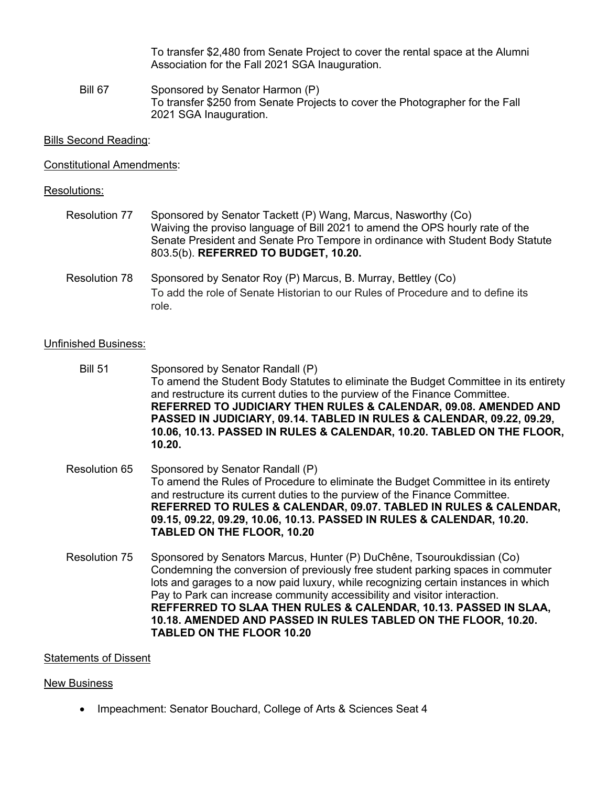To transfer \$2,480 from Senate Project to cover the rental space at the Alumni Association for the Fall 2021 SGA Inauguration.

Bill 67 Sponsored by Senator Harmon (P) To transfer \$250 from Senate Projects to cover the Photographer for the Fall 2021 SGA Inauguration.

#### Bills Second Reading:

#### Constitutional Amendments:

#### Resolutions:

| Resolution 77 | Sponsored by Senator Tackett (P) Wang, Marcus, Nasworthy (Co)                  |
|---------------|--------------------------------------------------------------------------------|
|               | Waiving the proviso language of Bill 2021 to amend the OPS hourly rate of the  |
|               | Senate President and Senate Pro Tempore in ordinance with Student Body Statute |
|               | 803.5(b). REFERRED TO BUDGET, 10.20.                                           |
|               |                                                                                |

Resolution 78 Sponsored by Senator Roy (P) Marcus, B. Murray, Bettley (Co) To add the role of Senate Historian to our Rules of Procedure and to define its role.

# Unfinished Business:

- Bill 51 Sponsored by Senator Randall (P) To amend the Student Body Statutes to eliminate the Budget Committee in its entirety and restructure its current duties to the purview of the Finance Committee. **REFERRED TO JUDICIARY THEN RULES & CALENDAR, 09.08. AMENDED AND PASSED IN JUDICIARY, 09.14. TABLED IN RULES & CALENDAR, 09.22, 09.29, 10.06, 10.13. PASSED IN RULES & CALENDAR, 10.20. TABLED ON THE FLOOR, 10.20.**
- Resolution 65 Sponsored by Senator Randall (P) To amend the Rules of Procedure to eliminate the Budget Committee in its entirety and restructure its current duties to the purview of the Finance Committee. **REFERRED TO RULES & CALENDAR, 09.07. TABLED IN RULES & CALENDAR, 09.15, 09.22, 09.29, 10.06, 10.13. PASSED IN RULES & CALENDAR, 10.20. TABLED ON THE FLOOR, 10.20**
- Resolution 75 Sponsored by Senators Marcus, Hunter (P) DuChêne, Tsouroukdissian (Co) Condemning the conversion of previously free student parking spaces in commuter lots and garages to a now paid luxury, while recognizing certain instances in which Pay to Park can increase community accessibility and visitor interaction. **REFFERRED TO SLAA THEN RULES & CALENDAR, 10.13. PASSED IN SLAA, 10.18. AMENDED AND PASSED IN RULES TABLED ON THE FLOOR, 10.20. TABLED ON THE FLOOR 10.20**

#### Statements of Dissent

#### New Business

• Impeachment: Senator Bouchard, College of Arts & Sciences Seat 4